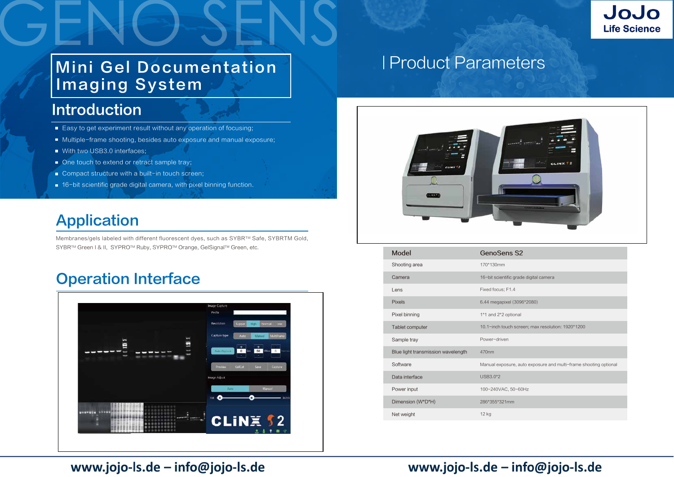# Mini Gel Documentation Imaging System

Membranes/gels labeled with different fluorescent dyes, such as SYBRTM Safe, SYBRTM Gold, SYBR™ Green I & II, SYPRO™ Ruby, SYPRO™ Orange, GelSignal™ Green, etc.

## **Operation Interface**



| SYBR <sup>11</sup> Green L& II, SYPRO <sup>11</sup> Ruby, SYPRO <sup>11</sup> Orange, GeiSignal <sup>11</sup> Green, etc. |                                     | Model                              | <b>GenoSens S2</b>     |
|---------------------------------------------------------------------------------------------------------------------------|-------------------------------------|------------------------------------|------------------------|
|                                                                                                                           |                                     | Shooting area                      | 170*130mm              |
| <b>Operation Interface</b>                                                                                                |                                     | Camera                             | 16-bit scientific grad |
|                                                                                                                           |                                     | Lens                               | Fixed focus; F1.4      |
|                                                                                                                           | Image Capture                       | Pixels                             | 6.44 megapixel (309    |
| 101<br>E<br>---<br>-                                                                                                      | Prefix                              | Pixel binning                      | 1*1 and 2*2 optional   |
|                                                                                                                           | Resolution<br>Normal Low            | Tablet computer                    | 10.1-inch touch scre   |
|                                                                                                                           | Capture typ                         | Sample tray                        | Power-driven           |
|                                                                                                                           | D Sec 50 MSec 5<br>Aubil Capture    | Blue light transmission wavelength | 470nm                  |
|                                                                                                                           | Save Capture<br>Preview 1<br>GelCut | Software                           | Manual exposure, au    |
|                                                                                                                           | Image Adjust                        | Data interface                     | USB3.0*2               |
|                                                                                                                           | Manual<br>Auto -                    | Power input                        | 100~240VAC, 50~60      |
|                                                                                                                           |                                     | Dimension (W*D*H)                  | 286*355*321mm          |
| WELFAST CHARGE TO BE CONSIDERED.<br><b>SOROOOOOO</b> STATISTICS<br>0000000000                                             | C1 IN Y C2                          | Net weight                         | 12 kg                  |
|                                                                                                                           |                                     |                                    |                        |

### www.jojo-ls.de - info@jojo-ls.de

### www.jojo-ls.de - info@jojo-ls.de



c grade digital camera

el (3096\*2080)

h screen; max resolution: 1920\*1200

sure, auto exposure and multi-frame shooting optional

50~60Hz

### Introduction

- Easy to get experiment result without any operation of focusing;
- Multiple-frame shooting, besides auto exposure and manual exposure;
- With two USB3.0 interfaces;
- One touch to extend or retract sample tray;
- Compact structure with a built-in touch screen;
- 16-bit scientific grade digital camera, with pixel binning function.

## Application

产品参数 Product Parameters



# Product Parameters